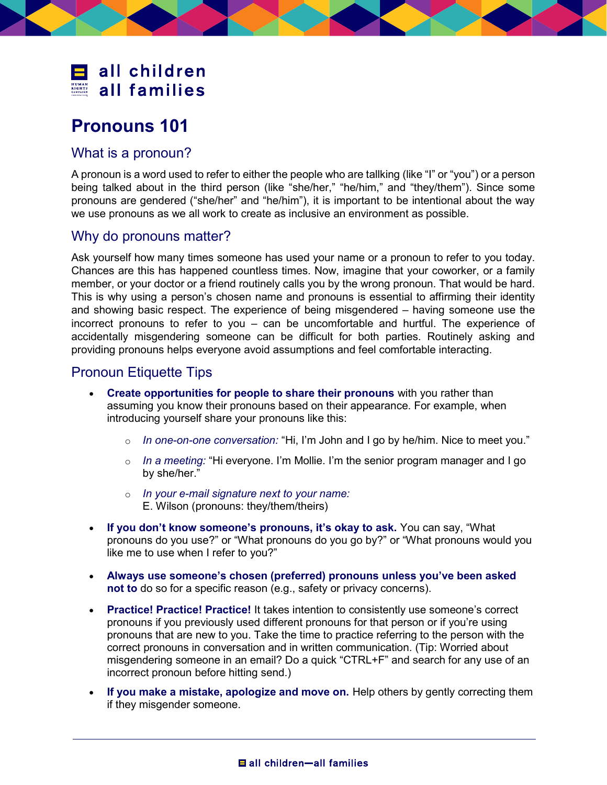

## Pronouns 101

## What is a pronoun?

A pronoun is a word used to refer to either the people who are tallking (like "I" or "you") or a person being talked about in the third person (like "she/her," "he/him," and "they/them"). Since some pronouns are gendered ("she/her" and "he/him"), it is important to be intentional about the way we use pronouns as we all work to create as inclusive an environment as possible.

## Why do pronouns matter?

Ask yourself how many times someone has used your name or a pronoun to refer to you today. Chances are this has happened countless times. Now, imagine that your coworker, or a family member, or your doctor or a friend routinely calls you by the wrong pronoun. That would be hard. This is why using a person's chosen name and pronouns is essential to affirming their identity and showing basic respect. The experience of being misgendered – having someone use the incorrect pronouns to refer to you – can be uncomfortable and hurtful. The experience of accidentally misgendering someone can be difficult for both parties. Routinely asking and providing pronouns helps everyone avoid assumptions and feel comfortable interacting.

## Pronoun Etiquette Tips

- Create opportunities for people to share their pronouns with you rather than assuming you know their pronouns based on their appearance. For example, when introducing yourself share your pronouns like this:
	- $\circ$  In one-on-one conversation: "Hi, I'm John and I go by he/him. Nice to meet you."
	- $\circ$  In a meeting: "Hi everyone. I'm Mollie. I'm the senior program manager and I go by she/her."
	- $\circ$  In your e-mail signature next to your name: E. Wilson (pronouns: they/them/theirs)
- If you don't know someone's pronouns, it's okay to ask. You can say, "What pronouns do you use?" or "What pronouns do you go by?" or "What pronouns would you like me to use when I refer to you?"
- Always use someone's chosen (preferred) pronouns unless you've been asked not to do so for a specific reason (e.g., safety or privacy concerns).
- Practice! Practice! Practice! It takes intention to consistently use someone's correct pronouns if you previously used different pronouns for that person or if you're using pronouns that are new to you. Take the time to practice referring to the person with the correct pronouns in conversation and in written communication. (Tip: Worried about misgendering someone in an email? Do a quick "CTRL+F" and search for any use of an incorrect pronoun before hitting send.)
- If you make a mistake, apologize and move on. Help others by gently correcting them if they misgender someone.